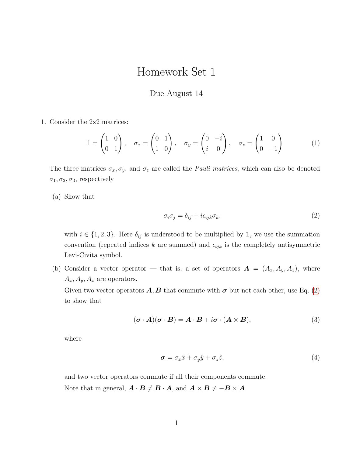## Homework Set 1

## Due August 14

1. Consider the 2x2 matrices:

$$
\mathbb{1} = \begin{pmatrix} 1 & 0 \\ 0 & 1 \end{pmatrix}, \quad \sigma_x = \begin{pmatrix} 0 & 1 \\ 1 & 0 \end{pmatrix}, \quad \sigma_y = \begin{pmatrix} 0 & -i \\ i & 0 \end{pmatrix}, \quad \sigma_z = \begin{pmatrix} 1 & 0 \\ 0 & -1 \end{pmatrix}
$$
 (1)

The three matrices  $\sigma_x, \sigma_y$ , and  $\sigma_z$  are called the *Pauli matrices*, which can also be denoted  $\sigma_1, \sigma_2, \sigma_3$ , respectively

(a) Show that

<span id="page-0-0"></span>
$$
\sigma_i \sigma_j = \delta_{ij} + i \epsilon_{ijk} \sigma_k, \tag{2}
$$

with  $i \in \{1, 2, 3\}$ . Here  $\delta_{ij}$  is understood to be multiplied by 1, we use the summation convention (repeated indices k are summed) and  $\epsilon_{ijk}$  is the completely antisymmetric Levi-Civita symbol.

(b) Consider a vector operator — that is, a set of operators  $\mathbf{A} = (A_x, A_y, A_z)$ , where  $A_x, A_y, A_x$  are operators.

Given two vector operators  $\mathbf{A}, \mathbf{B}$  that commute with  $\sigma$  but not each other, use Eq. [\(2\)](#page-0-0) to show that

$$
(\boldsymbol{\sigma} \cdot \boldsymbol{A})(\boldsymbol{\sigma} \cdot \boldsymbol{B}) = \boldsymbol{A} \cdot \boldsymbol{B} + i \boldsymbol{\sigma} \cdot (\boldsymbol{A} \times \boldsymbol{B}), \tag{3}
$$

where

$$
\sigma = \sigma_x \hat{x} + \sigma_y \hat{y} + \sigma_z \hat{z}, \tag{4}
$$

and two vector operators commute if all their components commute.

Note that in general,  $\mathbf{A} \cdot \mathbf{B} \neq \mathbf{B} \cdot \mathbf{A}$ , and  $\mathbf{A} \times \mathbf{B} \neq -\mathbf{B} \times \mathbf{A}$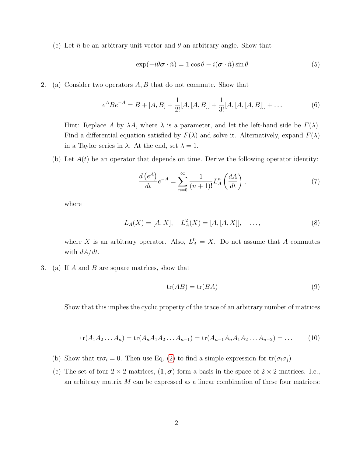(c) Let  $\hat{n}$  be an arbitrary unit vector and  $\theta$  an arbitrary angle. Show that

$$
\exp(-i\theta\boldsymbol{\sigma}\cdot\hat{n}) = 1\cos\theta - i(\boldsymbol{\sigma}\cdot\hat{n})\sin\theta\tag{5}
$$

2. (a) Consider two operators  $A, B$  that do not commute. Show that

$$
e^{A}Be^{-A} = B + [A, B] + \frac{1}{2!}[A, [A, B]] + \frac{1}{3!}[A, [A, [A, B]]] + \dots
$$
 (6)

Hint: Replace A by  $\lambda A$ , where  $\lambda$  is a parameter, and let the left-hand side be  $F(\lambda)$ . Find a differential equation satisfied by  $F(\lambda)$  and solve it. Alternatively, expand  $F(\lambda)$ in a Taylor series in  $\lambda$ . At the end, set  $\lambda = 1$ .

(b) Let  $A(t)$  be an operator that depends on time. Derive the following operator identity:

$$
\frac{d\left(e^{A}\right)}{dt}e^{-A} = \sum_{n=0}^{\infty} \frac{1}{(n+1)!} L_A^n\left(\frac{dA}{dt}\right),\tag{7}
$$

where

$$
L_A(X) = [A, X], \quad L_A^2(X) = [A, [A, X]], \quad \dots,\tag{8}
$$

where X is an arbitrary operator. Also,  $L_A^0 = X$ . Do not assume that A commutes with  $dA/dt$ .

3. (a) If A and B are square matrices, show that

$$
tr(AB) = tr(BA)
$$
\n(9)

Show that this implies the cyclic property of the trace of an arbitrary number of matrices

$$
\text{tr}(A_1 A_2 \dots A_n) = \text{tr}(A_n A_1 A_2 \dots A_{n-1}) = \text{tr}(A_{n-1} A_n A_1 A_2 \dots A_{n-2}) = \dots \tag{10}
$$

- (b) Show that tr $\sigma_i = 0$ . Then use Eq. [\(2\)](#page-0-0) to find a simple expression for  $tr(\sigma_i \sigma_j)$
- (c) The set of four  $2 \times 2$  matrices,  $(1, \sigma)$  form a basis in the space of  $2 \times 2$  matrices. I.e., an arbitrary matrix  $M$  can be expressed as a linear combination of these four matrices: